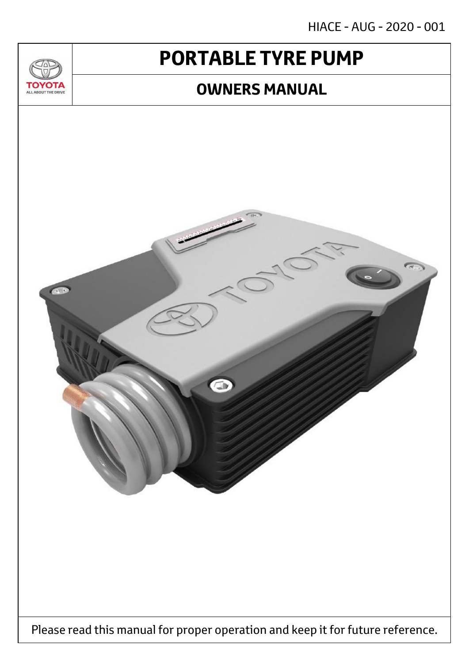HIACE - AUG - 2020 - 001

# **PORTABLE TYRE PUMP**

 $T_{\Delta}$ 

**TOYOTA** ALL ABOUT THE DRIVE

### **OWNERS MANUAL**

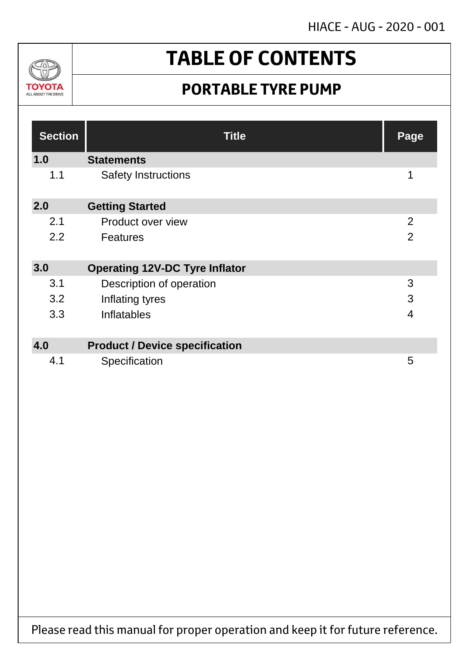HIACE - AUG - 2020 - 001



# **TABLE OF CONTENTS**

## **PORTABLE TYRE PUMP**

| <b>Section</b> | <b>Title</b>                          | Page           |
|----------------|---------------------------------------|----------------|
| 1.0            | <b>Statements</b>                     |                |
| 1.1            | <b>Safety Instructions</b>            | 1              |
| 2.0            | <b>Getting Started</b>                |                |
| 2.1            | Product over view                     | $\overline{2}$ |
| 2.2            | <b>Features</b>                       | $\overline{2}$ |
| 3.0            | <b>Operating 12V-DC Tyre Inflator</b> |                |
| 3.1            | Description of operation              | 3              |
| 3.2            | Inflating tyres                       | 3              |
| 3.3            | Inflatables                           | 4              |
|                |                                       |                |
| 4.0            | <b>Product / Device specification</b> |                |
| 4.1            | Specification                         | 5              |

Please read this manual for proper operation and keep it for future reference.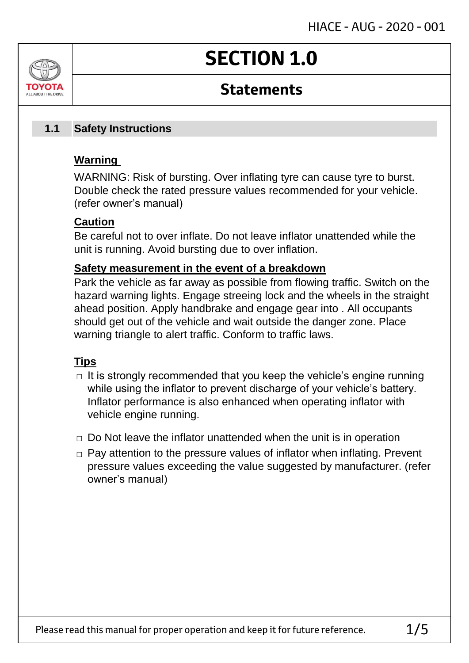# **SECTION 1.0**

### **Statements**

#### **Safety Instructions 1.1**

### **Warning**

ALL AROUT THE DRIV

WARNING: Risk of bursting. Over inflating tyre can cause tyre to burst. Double check the rated pressure values recommended for your vehicle. (refer owner's manual)

### **Caution**

Be careful not to over inflate. Do not leave inflator unattended while the unit is running. Avoid bursting due to over inflation.

### **Safety measurement in the event of a breakdown**

Park the vehicle as far away as possible from flowing traffic. Switch on the hazard warning lights. Engage streeing lock and the wheels in the straight ahead position. Apply handbrake and engage gear into . All occupants should get out of the vehicle and wait outside the danger zone. Place warning triangle to alert traffic. Conform to traffic laws.

### **Tips**

- $\Box$  It is strongly recommended that you keep the vehicle's engine running while using the inflator to prevent discharge of your vehicle's battery. Inflator performance is also enhanced when operating inflator with vehicle engine running.
- $\Box$  Do Not leave the inflator unattended when the unit is in operation
- □ Pay attention to the pressure values of inflator when inflating. Prevent pressure values exceeding the value suggested by manufacturer. (refer owner's manual)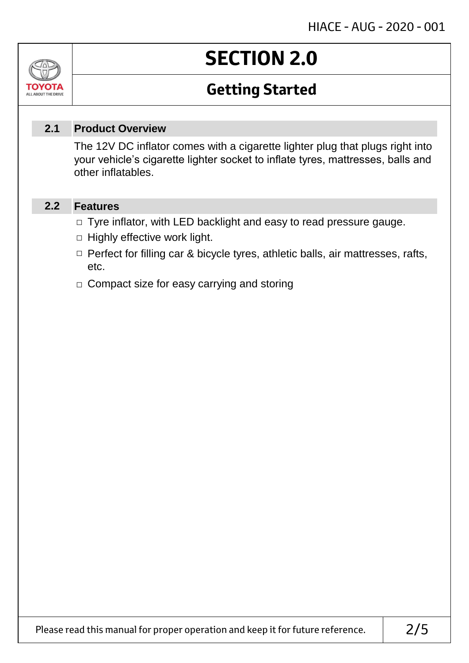# **SECTION 2.0**

## **Getting Started**

#### **Product Overview 2.1**

The 12V DC inflator comes with a cigarette lighter plug that plugs right into your vehicle's cigarette lighter socket to inflate tyres, mattresses, balls and other inflatables.

#### **Features 2.2**

Jn

TOVOIL ALL ABOUT THE DRIVE

- □ Tyre inflator, with LED backlight and easy to read pressure gauge.
- $\Box$  Highly effective work light.
- □ Perfect for filling car & bicycle tyres, athletic balls, air mattresses, rafts, etc.
- □ Compact size for easy carrying and storing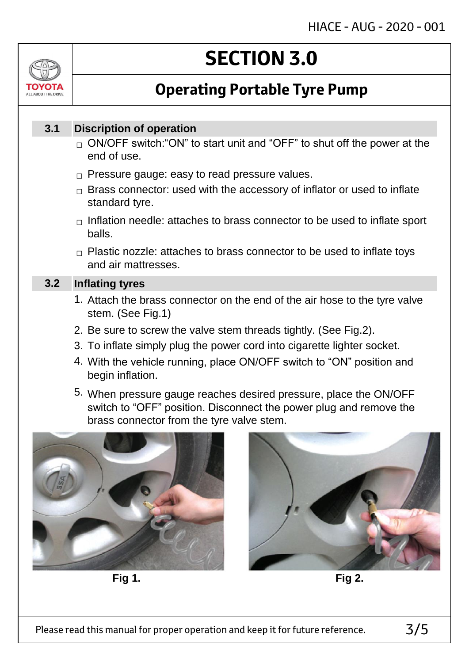

# **SECTION 3.0**

## **Operating Portable Tyre Pump**

#### **Discription of operation 3.1**

- $_\square$  ON/OFF switch:"ON" to start unit and "OFF" to shut off the power at the end of use.
- $\Box$  Pressure gauge: easy to read pressure values.
- $\Box$  Brass connector: used with the accessory of inflator or used to inflate standard tyre.
- $\Box$  Inflation needle: attaches to brass connector to be used to inflate sport balls.
- $\Box$  Plastic nozzle: attaches to brass connector to be used to inflate toys and air mattresses.

#### **Inflating tyres 3.2**

- 1. Attach the brass connector on the end of the air hose to the tyre valve stem. (See Fig.1)
- 2. Be sure to screw the valve stem threads tightly. (See Fig.2).
- 3. To inflate simply plug the power cord into cigarette lighter socket.
- 4. With the vehicle running, place ON/OFF switch to "ON" position and begin inflation.
- 5. When pressure gauge reaches desired pressure, place the ON/OFF switch to "OFF" position. Disconnect the power plug and remove the brass connector from the tyre valve stem.



**Fig 1. Fig 2.**

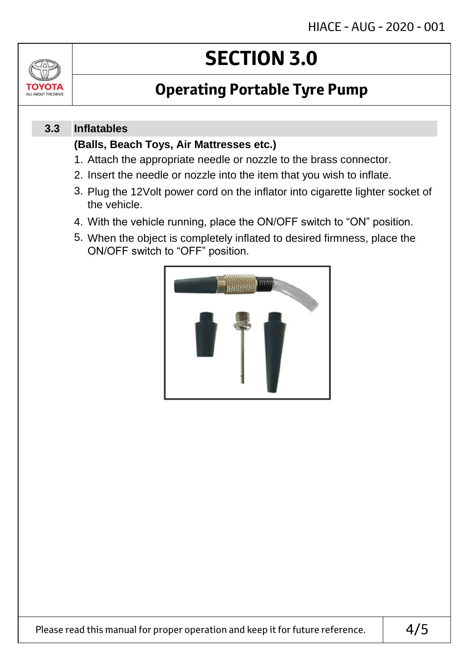

# **SECTION 3.0**

## **Operating Portable Tyre Pump**

#### **Inflatables 3.3**

### **(Balls, Beach Toys, Air Mattresses etc.)**

- 1. Attach the appropriate needle or nozzle to the brass connector.
- 2. Insert the needle or nozzle into the item that you wish to inflate.
- 3. Plug the 12Volt power cord on the inflator into cigarette lighter socket of the vehicle.
- 4. With the vehicle running, place the ON/OFF switch to "ON" position.
- 5. When the object is completely inflated to desired firmness, place the ON/OFF switch to "OFF" position.